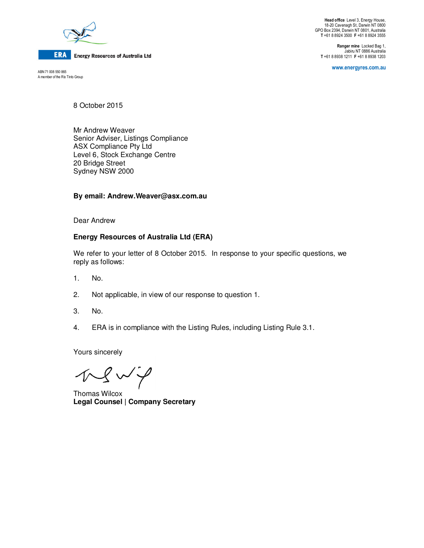

**ERA** Energy Resources of Australia Ltd

ABN 71 008 550 865 A member of the Rio Tinto Group

**Head office** Level 3, Energy House, 18-20 Cavenagh St, Darwin NT 0800 GPO Box 2394, Darwin NT 0801, Australia **T** +61 8 8924 3500 **F** +61 8 8924 3555

**Ranger mine** Locked Bag 1, Jabiru NT 0886 Australia **T** +61 8 8938 1211 **F** +61 8 8938 1203

**www.energyres.com.au** 

8 October 2015

Mr Andrew Weaver Senior Adviser, Listings Compliance ASX Compliance Pty Ltd Level 6, Stock Exchange Centre 20 Bridge Street Sydney NSW 2000

### **By email: Andrew.Weaver@asx.com.au**

Dear Andrew

### **Energy Resources of Australia Ltd (ERA)**

We refer to your letter of 8 October 2015. In response to your specific questions, we reply as follows:

- 1. No.
- 2. Not applicable, in view of our response to question 1.
- 3. No.
- 4. ERA is in compliance with the Listing Rules, including Listing Rule 3.1.

Yours sincerely

 $N \rightarrow N$ 

Thomas Wilcox **Legal Counsel | Company Secretary**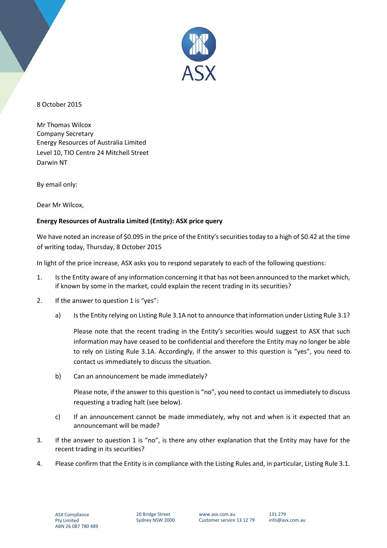

8 October 2015

Mr Thomas Wilcox Company Secretary Energy Resources of Australia Limited Level 10, TIO Centre 24 Mitchell Street Darwin NT

By email only:

Dear Mr Wilcox,

## **Energy Resources of Australia Limited (Entity): ASX price query**

We have noted an increase of \$0.095 in the price of the Entity's securities today to a high of \$0.42 at the time of writing today, Thursday, 8 October 2015

In light of the price increase, ASX asks you to respond separately to each of the following questions:

- 1. Is the Entity aware of any information concerning it that has not been announced to the market which, if known by some in the market, could explain the recent trading in its securities?
- 2. If the answer to question 1 is "yes":
	- a) Is the Entity relying on Listing Rule 3.1A not to announce that information under Listing Rule 3.1?

Please note that the recent trading in the Entity's securities would suggest to ASX that such information may have ceased to be confidential and therefore the Entity may no longer be able to rely on Listing Rule 3.1A. Accordingly, if the answer to this question is "yes", you need to contact us immediately to discuss the situation.

b) Can an announcement be made immediately?

Please note, if the answer to this question is "no", you need to contact us immediately to discuss requesting a trading halt (see below).

- c) If an announcement cannot be made immediately, why not and when is it expected that an announcemant will be made?
- 3. If the answer to question 1 is "no", is there any other explanation that the Entity may have for the recent trading in its securities?
- 4. Please confirm that the Entity is in compliance with the Listing Rules and, in particular, Listing Rule 3.1.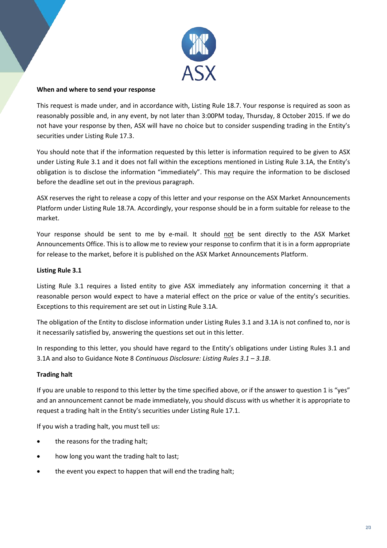

### **When and where to send your response**

This request is made under, and in accordance with, Listing Rule 18.7. Your response is required as soon as reasonably possible and, in any event, by not later than 3:00PM today, Thursday, 8 October 2015. If we do not have your response by then, ASX will have no choice but to consider suspending trading in the Entity's securities under Listing Rule 17.3.

You should note that if the information requested by this letter is information required to be given to ASX under Listing Rule 3.1 and it does not fall within the exceptions mentioned in Listing Rule 3.1A, the Entity's obligation is to disclose the information "immediately". This may require the information to be disclosed before the deadline set out in the previous paragraph.

ASX reserves the right to release a copy of this letter and your response on the ASX Market Announcements Platform under Listing Rule 18.7A. Accordingly, your response should be in a form suitable for release to the market.

Your response should be sent to me by e-mail. It should not be sent directly to the ASX Market Announcements Office. This is to allow me to review your response to confirm that it is in a form appropriate for release to the market, before it is published on the ASX Market Announcements Platform.

# **Listing Rule 3.1**

Listing Rule 3.1 requires a listed entity to give ASX immediately any information concerning it that a reasonable person would expect to have a material effect on the price or value of the entity's securities. Exceptions to this requirement are set out in Listing Rule 3.1A.

The obligation of the Entity to disclose information under Listing Rules 3.1 and 3.1A is not confined to, nor is it necessarily satisfied by, answering the questions set out in this letter.

In responding to this letter, you should have regard to the Entity's obligations under Listing Rules 3.1 and 3.1A and also to Guidance Note 8 *Continuous Disclosure: Listing Rules 3.1 – 3.1B*.

# **Trading halt**

If you are unable to respond to this letter by the time specified above, or if the answer to question 1 is "yes" and an announcement cannot be made immediately, you should discuss with us whether it is appropriate to request a trading halt in the Entity's securities under Listing Rule 17.1.

If you wish a trading halt, you must tell us:

- the reasons for the trading halt;
- how long you want the trading halt to last;
- the event you expect to happen that will end the trading halt;